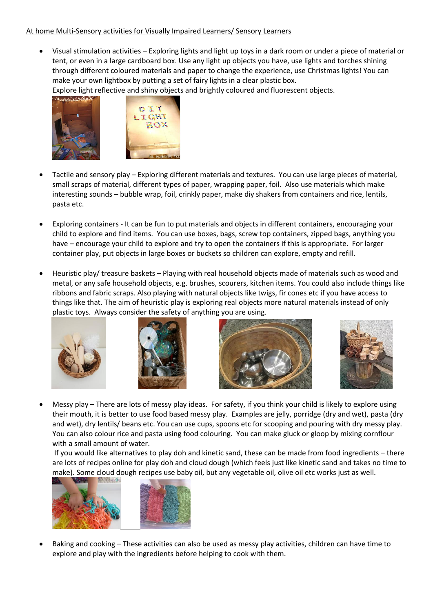## At home Multi-Sensory activities for Visually Impaired Learners/ Sensory Learners

• Visual stimulation activities – Exploring lights and light up toys in a dark room or under a piece of material or tent, or even in a large cardboard box. Use any light up objects you have, use lights and torches shining through different coloured materials and paper to change the experience, use Christmas lights! You can make your own lightbox by putting a set of fairy lights in a clear plastic box.

Explore light reflective and shiny objects and brightly coloured and fluorescent objects.



- Tactile and sensory play Exploring different materials and textures. You can use large pieces of material, small scraps of material, different types of paper, wrapping paper, foil. Also use materials which make interesting sounds – bubble wrap, foil, crinkly paper, make diy shakers from containers and rice, lentils, pasta etc.
- Exploring containers It can be fun to put materials and objects in different containers, encouraging your child to explore and find items. You can use boxes, bags, screw top containers, zipped bags, anything you have – encourage your child to explore and try to open the containers if this is appropriate. For larger container play, put objects in large boxes or buckets so children can explore, empty and refill.
- Heuristic play/ treasure baskets Playing with real household objects made of materials such as wood and metal, or any safe household objects, e.g. brushes, scourers, kitchen items. You could also include things like ribbons and fabric scraps. Also playing with natural objects like twigs, fir cones etc if you have access to things like that. The aim of heuristic play is exploring real objects more natural materials instead of only plastic toys. Always consider the safety of anything you are using.









• Messy play – There are lots of messy play ideas. For safety, if you think your child is likely to explore using their mouth, it is better to use food based messy play. Examples are jelly, porridge (dry and wet), pasta (dry and wet), dry lentils/ beans etc. You can use cups, spoons etc for scooping and pouring with dry messy play. You can also colour rice and pasta using food colouring. You can make gluck or gloop by mixing cornflour with a small amount of water.

If you would like alternatives to play doh and kinetic sand, these can be made from food ingredients – there are lots of recipes online for play doh and cloud dough (which feels just like kinetic sand and takes no time to make). Some cloud dough recipes use baby oil, but any vegetable oil, olive oil etc works just as well.



• Baking and cooking – These activities can also be used as messy play activities, children can have time to explore and play with the ingredients before helping to cook with them.